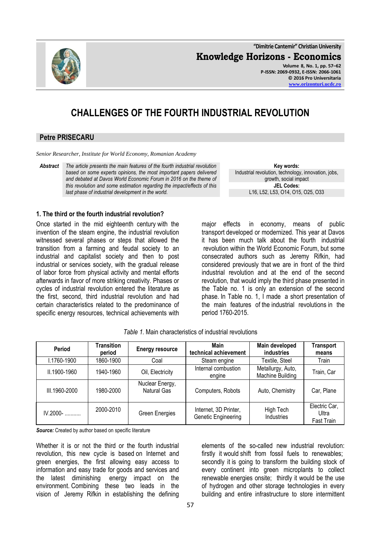**"Dimitrie Cantemir" Christian University Knowledge Horizons - Economics Volume 8, No. 1, pp. 57–62 P-ISSN: 2069-0932, E-ISSN: 2066-1061 © 2016 Pro Universitaria [www.orizonturi.ucdc.ro](http://www.orizonturi.ucdc.ro/)**

# **CHALLENGES OF THE FOURTH INDUSTRIAL REVOLUTION**

### **Petre PRISECARU**

*Senior Researcher, Institute for World Economy, Romanian Academy*

*Abstract The article presents the main features of the fourth industrial revolution based on some experts opinions, the most important papers delivered and debated at Davos World Economic Forum in 2016 on the theme of this revolution and some estimation regarding the impact/effects of this last phase of industrial development in the world.* 

**1. The third or the fourth industrial revolution?**

Once started in the mid eighteenth century with the invention of the steam engine, the industrial revolution witnessed several phases or steps that allowed the transition from a farming and feudal society to an industrial and capitalist society and then to post industrial or services society, with the gradual release of labor force from physical activity and mental efforts afterwards in favor of more striking creativity. Phases or cycles of industrial revolution entered the literature as the first, second, third industrial revolution and had certain characteristics related to the predominance of specific energy resources, technical achievements with major effects in economy, means of public transport developed or modernized. This year at Davos it has been much talk about the fourth industrial revolution within the World Economic Forum, but some consecrated authors such as Jeremy Rifkin, had considered previously that we are in front of the third industrial revolution and at the end of the second revolution, that would imply the third phase presented in the Table no. 1 is only an extension of the second phase. In Table no. 1, I made a short presentation of

the main features of the industrial revolutions in the

**Key words:** Industrial revolution, technology, innovation, jobs, growth, social impact **JEL Codes:** L16, L52, L53, O14, O15, O25, O33

| Period        | Transition<br>period | <b>Energy resource</b>         | Main<br>technical achievement                | Main developed<br>industries          | <b>Transport</b><br>means            |
|---------------|----------------------|--------------------------------|----------------------------------------------|---------------------------------------|--------------------------------------|
| I.1760-1900   | 1860-1900            | Coal                           | Steam engine                                 | Textile, Steel                        | Train                                |
| II.1900-1960  | 1940-1960            | Oil, Electricity               | Internal combustion<br>engine                | Metallurgy, Auto,<br>Machine Building | Train, Car                           |
| III.1960-2000 | 1980-2000            | Nuclear Energy,<br>Natural Gas | Computers, Robots                            | Auto, Chemistry                       | Car, Plane                           |
| $IV.2000 -$   | 2000-2010            | Green Energies                 | Internet, 3D Printer,<br>Genetic Engineering | High Tech<br>Industries               | Electric Car,<br>Ultra<br>Fast Train |

*Table 1.* Main characteristics of industrial revolutions

period 1760-2015.

*Source:* Created by author based on specific literature

Whether it is or not the third or the fourth industrial revolution, this new cycle is based on Internet and green energies, the first allowing easy access to information and easy trade for goods and services and the latest diminishing energy impact on the environment. Combining these two leads in the vision of Jeremy Rifkin in establishing the defining

elements of the so-called new industrial revolution: firstly it would shift from fossil fuels to renewables; secondly it is going to transform the building stock of every continent into green microplants to collect renewable energies onsite; thirdly it would be the use of hydrogen and other storage technologies in every building and entire infrastructure to store intermittent

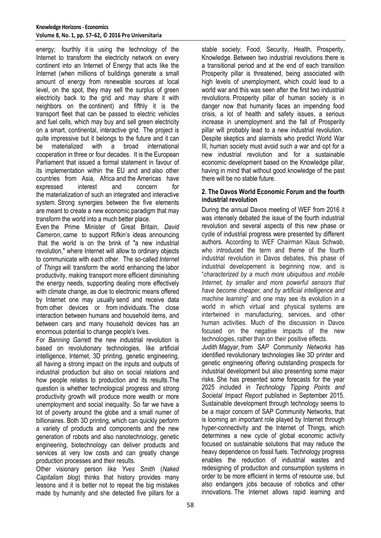energy; fourthly it is using the technology of the Internet to transform the electricity network on every continent into an Internet of Energy that acts like the Internet (when millions of buildings generate a small amount of energy from renewable sources at local level, on the spot, they may sell the surplus of green electricity back to the grid and may share it with neighbors on the continent) and fifthly it is the transport fleet that can be passed to electric vehicles and fuel cells, which may buy and sell green electricity on a smart, continental, interactive grid. The project is quite impressive but it belongs to the future and it can be materialized with a broad international cooperation in three or four decades. It is the European Parliament that issued a formal statement in favour of its implementation within the EU and and also other countries from Asia, Africa and the Americas have expressed interest and concern for the materialization of such an integrated and interactive system. Strong synergies between the five elements are meant to create a new economic paradigm that may transform the world into a much better place.

Even the Prime Minister of Great Britain, *David Cameron*, came to support Rifkin's ideas announcing that the world is on the brink of "a new industrial revolution," where Internet will allow to ordinary objects to communicate with each other. The so-called *Internet of Things* will transform the world enhancing the labor productivity, making transport more efficient diminishing the energy needs, supporting dealing more effectively with climate change, as due to electronic means offered by Internet one may usually send and receive data from other devices or from individuals. The close interaction between humans and household items, and between cars and many household devices has an enormous potential to change people's lives.

For *Banning Garrett* the new industrial revolution is based on revolutionary technologies, like artificial intelligence, Internet, 3D printing, genetic engineering, all having a strong impact on the inputs and outputs of industrial production but also on social relations and how people relates to production and its results.The question is whether technological progress and strong productivity growth will produce more wealth or more unemployment and social inequality. So far we have a lot of poverty around the globe and a small numer of billionaires. Both 3D printing, which can quickly perform a variety of products and components and the new generation of robots and also nanotechnology, genetic engineering, biotechnology can deliver products and services at very low costs and can greatly change production processes and their results.

Other visionary person like *Yves Smith* (*Naked Capitalism blog*) thinks that history provides many lessons and it is better not to repeat the big mistakes made by humanity and she detected five pillars for a

stable society: Food, Security, Health, Prosperity, Knowledge. Between two industrial revolutions there is a transitional period and at the end of each transition Prosperity pillar is threatened, being associated with high levels of unemployment, which could lead to a world war and this was seen after the first two industrial revolutions. Prosperity pillar of human society is in danger now that humanity faces an impending food crisis, a lot of health and safety issues, a serious increase in unemployment and the fall of Prosperity pillar will probably lead to a new industrial revolution. Despite skeptics and alarmists who predict World War III, human society must avoid such a war and opt for a new industrial revolution and for a sustainable economic development based on the Knowledge pillar, having in mind that without good knowledge of the past there will be no stable future.

#### **2. The Davos World Economic Forum and the fourth industrial revolution**

During the annual Davos meeting of WEF from 2016 it was intensely debated the issue of the fourth industrial revolution and several aspects of this new phase or cycle of industrial progress were presented by different authors. According to WEF Chairman Klaus Schwab, who introduced the term and theme of the fourth industrial revolution in Davos debates, this phase of industrial developement is beginning now, and is "*characterized by a much more ubiquitous and mobile Internet, by smaller and more powerful sensors that have become cheaper, and by artificial intelligence and machine learning*" and one may see its evolution in a world in which virtual and physical systems are intertwined in manufacturing, services, and other human activities. Much of the discussion in Davos focused on the negative impacts of the new technologies, rather than on their positive effects.

*Judith Magyar*, from *SAP Community Networks* has identified revolutionary technologies like 3D printer and genetic engineering offering outstanding prospects for industrial development but also presenting some major risks. She has presented some forecasts for the year 2025 included in *Technology Tipping Points and Societal Impact Report* published in September 2015. Sustainable development through technology seems to be a major concern of SAP Community Networks, that is looming an important role played by Internet through hyper-connectivity and the Internet of Things, which determines a new cycle of global economic activity focused on sustainable solutions that may reduce the heavy dependence on fossil fuels. Technology progress enables the reduction of industrial wastes and redesigning of production and consumption systems in order to be more efficient in terms of resource use, but also endangers jobs because of robotics and other innovations. The Internet allows rapid learning and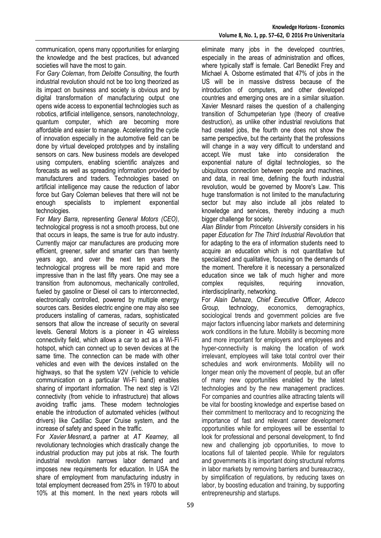communication, opens many opportunities for enlarging the knowledge and the best practices, but advanced societies will have the most to gain.

For *Gary Coleman*, from *Deloitte Consulting*, the fourth industrial revolution should not be too long theorized as its impact on business and society is obvious and by digital transformation of manufacturing output one opens wide access to exponential technologies such as robotics, artificial intelligence, sensors, nanotechnology, quantum computer, which are becoming more affordable and easier to manage. Accelerating the cycle of innovation especially in the automotive field can be done by virtual developed prototypes and by installing sensors on cars. New business models are developed using computers, enabling scientific analyzes and forecasts as well as spreading information provided by manufacturers and traders. Technologies based on artificial intelligence may cause the reduction of labor force but Gary Coleman believes that there will not be enough specialists to implement exponential technologies.

For *Mary Barra*, representing *General Motors (CEO)*, technological progress is not a smooth process, but one that occurs in leaps, the same is true for auto industry. Currently major car manufactures are producing more efficient, greener, safer and smarter cars than twenty years ago, and over the next ten years the technological progress will be more rapid and more impressive than in the last fifty years. One may see a transition from autonomous, mechanically controlled, fueled by gasoline or Diesel oil cars to interconnected, electronically controlled, powered by multiple energy sources cars. Besides electric engine one may also see producers installing of cameras, radars, sophisticated sensors that allow the increase of security on several levels. General Motors is a pioneer in 4G wireless connectivity field, which allows a car to act as a Wi-Fi hotspot, which can connect up to seven devices at the same time. The connection can be made with other vehicles and even with the devices installed on the highways, so that the system V2V (vehicle to vehicle communication on a particular Wi-Fi band) enables sharing of important information. The next step is V2I connectivity (from vehicle to infrastructure) that allows avoiding traffic jams. These modern technologies enable the introduction of automated vehicles (without drivers) like Cadillac Super Cruise system, and the increase of safety and speed in the traffic.

For *Xavier Mesnard*, a partner at *AT Kearney,* all revolutionary technologies which drastically change the industrial production may put jobs at risk. The fourth industrial revolution narrows labor demand and imposes new requirements for education. In USA the share of employment from manufacturing industry in total employment decreased from 25% in 1970 to about 10% at this moment. In the next years robots will eliminate many jobs in the developed countries, especially in the areas of administration and offices, where typically staff is female. Carl Benedikt Frey and Michael A. Osborne estimated that 47% of jobs in the US will be in massive distress because of the introduction of computers, and other developed countries and emerging ones are in a similar situation. Xavier Mesnard raises the question of a challenging transition of Schumpeterian type (theory of creative destruction), as unlike other industrial revolutions that had created jobs, the fourth one does not show the same perspective, but the certainty that the professions will change in a way very difficult to understand and accept. We must take into consideration the exponential nature of digital technologies, so the ubiquitous connection between people and machines, and data, in real time, defining the fourth industrial revolution, would be governed by Moore's Law. This huge transformation is not limited to the manufacturing sector but may also include all jobs related to knowledge and services, thereby inducing a much bigger challenge for society.

*Alan Blinder* from *Princeton University* considers in his paper *Education for The Third Industrial Revolution* that for adapting to the era of information students need to acquire an education which is not quantitative but specialized and qualitative, focusing on the demands of the moment. Therefore it is necessary a personalized education since we talk of much higher and more complex requisites, requiring innovation, interdisciplinarity, networking.

For *Alain Dehaze*, *Chief Executive Officer, Adecco Group,* technology, economics, demographics, sociological trends and government policies are five major factors influencing labor markets and determining work conditions in the future. Mobility is becoming more and more important for employers and employees and hyper-connectivity is making the location of work irrelevant, employees will take total control over their schedules and work environments. Mobility will no longer mean only the movement of people, but an offer of many new opportunities enabled by the latest technologies and by the new management practices. For companies and countries alike attracting talents will be vital for boosting knowledge and expertise based on their commitment to meritocracy and to recognizing the importance of fast and relevant career development opportunities while for employees will be essential to look for professional and personal development, to find new and challenging job opportunities, to move to locations full of talented people. While for regulators and governments it is important doing structural reforms in labor markets by removing barriers and bureaucracy, by simplification of regulations, by reducing taxes on labor, by boosting education and training, by supporting entrepreneurship and startups.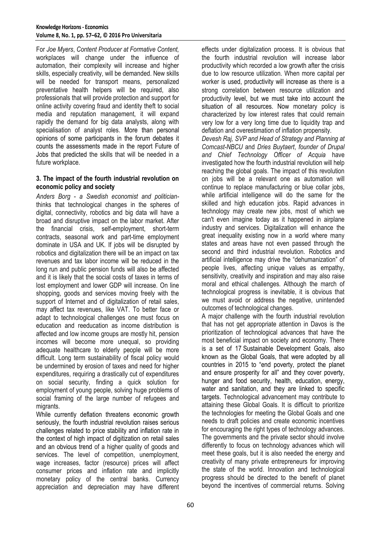For *Joe Myers*, *Content Producer at Formative Content,* workplaces will change under the influence of automation, their complexity will increase and higher skills, especially creativity, will be demanded. New skills will be needed for transport means, personalized preventative health helpers will be required, also professionals that will provide protection and support for online activity covering fraud and identity theft to social media and reputation management, it will expand rapidly the demand for big data analysts, along with specialisation of analyst roles. More than personal opinions of some participants in the forum debates it counts the assessments made in the report Future of Jobs that predicted the skills that will be needed in a future workplace.

### **3. The impact of the fourth industrial revolution on economic policy and society**

*Anders Borg* - *a Swedish economist and politician*thinks that technological changes in the spheres of digital, connectivity, robotics and big data will have a broad and disruptive impact on the labor market. After the financial crisis, self-employment, short-term contracts, seasonal work and part-time employment dominate in USA and UK. If jobs will be disrupted by robotics and digitalization there will be an impact on tax revenues and tax labor income will be reduced in the long run and public pension funds will also be affected and it is likely that the social costs of taxes in terms of lost employment and lower GDP will increase. On line shopping, goods and services moving freely with the support of Internet and of digitalization of retail sales, may affect tax revenues, like VAT. To better face or adapt to technological challenges one must focus on education and reeducation as income distribution is affected and low income groups are mostly hit, pension incomes will become more unequal, so providing adequate healthcare to elderly people will be more difficult. Long term sustainability of fiscal policy would be undermined by erosion of taxes and need for higher expenditures, requiring a drastically cut of expenditures on social security, finding a quick solution for employment of young people, solving huge problems of social framing of the large number of refugees and migrants.

While currently deflation threatens economic growth seriously, the fourth industrial revolution raises serious challenges related to price stability and inflation rate in the context of high impact of digitization on retail sales and an obvious trend of a higher quality of goods and services. The level of competition, unemployment, wage increases, factor (resource) prices will affect consumer prices and inflation rate and implicitly monetary policy of the central banks. Currency appreciation and depreciation may have different effects under digitalization process. It is obvious that the fourth industrial revolution will increase labor productivity which recorded a low growth after the crisis due to low resource utilization. When more capital per worker is used, productivity will increase as there is a strong correlation between resource utilization and productivity level, but we must take into account the situation of all resources. Now monetary policy is characterized by low interest rates that could remain very low for a very long time due to liquidity trap and deflation and overestimation of inflation propensity.

*Devesh Raj, SVP and Head of Strategy and Planning at Comcast-NBCU* and *Dries Buytaert*, *founder of Drupal and Chief Technology Officer of Acquia* have investigated how the fourth industrial revolution will help reaching the global goals. The impact of this revolution on jobs will be a relevant one as automation will continue to replace manufacturing or blue collar jobs, while artificial intelligence will do the same for the skilled and high education jobs. Rapid advances in technology may create new jobs, most of which we can't even imagine today as it happened in airplane industry and services. Digitalization will enhance the great inequality existing now in a world where many states and areas have not even passed through the second and third industrial revolution. Robotics and artificial intelligence may drive the "dehumanization" of people lives, affecting unique values as empathy, sensitivity, creativity and inspiration and may also raise moral and ethical challenges. Although the march of technological progress is inevitable, it is obvious that we must avoid or address the negative, unintended outcomes of technological changes.

A major challenge with the fourth industrial revolution that has not get appropriate attention in Davos is the prioritization of technological advances that have the most beneficial impact on society and economy. There is a set of 17 [Sustainable Development Goals,](http://www.un.org/sustainabledevelopment/sustainable-development-goals/) also known as the Global Goals, that were adopted by all countries in 2015 to "end poverty, protect the planet and ensure prosperity for all" and they cover poverty, hunger and food security, health, education, energy, water and sanitation, and they are linked to specific targets. Technological advancement may contribute to attaining these Global Goals. It is difficult to prioritize the technologies for meeting the Global Goals and one needs to draft policies and create economic incentives for encouraging the right types of technology advances. The governments and the private sector should involve differently to focus on technology advances which will meet these goals, but it is also needed the energy and creativity of many private entrepreneurs for improving the state of the world. Innovation and technological progress should be directed to the benefit of planet beyond the incentives of commercial returns. Solving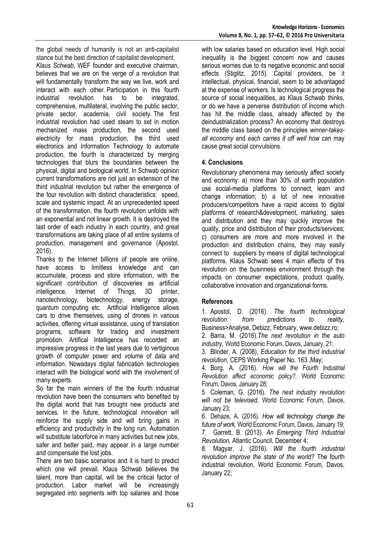the global needs of humanity is not an anti-capitalist stance but the best direction of capitalist development. *Klaus Schwab*, WEF founder and executive chairman, believes that we are on the verge of a revolution that will fundamentally transform the way we live, work and interact with each other. Participation in this fourth industrial revolution has to be integrated, comprehensive, multilateral, involving the public sector, private sector, academia, civil society. The first industrial revolution had used steam to set in motion mechanized mass production, the second used electricity for mass production, the third used electronics and Information Technology to automate production, the fourth is characterized by merging technologies that blurs the boundaries between the physical, digital and biological world. In Schwab opinion current transformations are not just an extension of the third industrial revolution but rather the emergence of the four revolution with distinct characteristics: speed, scale and systemic impact. At an unprecedented speed of the transformation, the fourth revolution unfolds with an exponential and not linear growth. It is destroyed the last order of each industry in each country, and great transformations are taking place of all entire systems of production, management and governance (Apostol,

2016). Thanks to the Internet billions of people are online, have access to limitless knowledge and can accumulate, process and store information, with the significant contribution of discoveries as artificial intelligence, Internet of Things, 3D printer, nanotechnology, biotechnology, energy storage, quantum computing etc. Artificial Intelligence allows cars to drive themselves, using of drones in various activities, offering virtual assistance, using of translation programs, software for trading and investment promotion. Artifical Intelligence has recorded an impressive progress in the last years due to vertiginous growth of computer power and volume of data and information. Nowadays digital fabrication technologies interact with the biological world with the involvment of many experts.

So far the main winners of the the fourth industrial revolution have been the consumers who benefited by the digital world that has brought new products and services. In the future, technological innovation will reinforce the supply side and will bring gains in efficiency and productivity in the long run. Automation will substitute laborforce in many activities but new jobs, safer and better paid, may appear in a large number and compensate the lost jobs.

There are two basic scenarios and it is hard to predict which one will prevail. Klaus Schwab believes the talent, more than capital, will be the critical factor of production. Labor market will be increasingly segregated into segments with top salaries and those

with low salaries based on education level. High social inequality is the biggest concern now and causes serious worries due to its negative economic and social effects (Stiglitz, 2015). Capital providers, be it intellectual, physical, financial, seem to be advantaged at the expense of workers. Is technological progress the source of social inequalities, as Klaus Schwab thinks, or do we have a perverse distribution of income which has hit the middle class, already affected by the deindustrialization process? An economy that destroys the middle class based on the principles *winner-takesall economy* and *each carries it off well how can* may cause great social convulsions.

## **4. Conclusions**

Revolutionary phenomena may seriously affect society and economy: a) more than 30% of earth population use social-media platforms to connect, learn and change information; b) a lot of new innovative producers/competitors have a rapid access to digital platforms of research&development, marketing, sales and distribution and they may quickly improve the quality, price and distribution of their products/services; c) consumers are more and more involved in the production and distribution chains, they may easily connect to suppliers by means of digital technological platforms. Klaus Schwab sees 4 main effects of this revolution on the businness environment through the impacts on consumer expectations, product quality, collaborative innovation and organizational forms.

### **References**

1. Apostol, D. (2016). *The fourth technological revolution: from predictions to reality,*  Business>Analyse, Debizz, February, [www.debizz.ro;](http://www.debizz.ro/)

2. Barra, M. (2016).*The next revolution in the auto industry,* World Economic Forum, Davos, January, 21;

3. Blinder, A. (2008). *Education for the third industrial revolution,* CEPS Working Paper No. 163 ,May;

4. Borg, A. (2016). *How will the Fourth Industrial Revolution affect economic policy?,* World Economic Forum, Davos, January 28;

5. Coleman*,* G. (2016). *The next industry revolution will not be televised,* World Economic Forum, Davos, January 23;

6. Dehaze, A. (2016). *How will technology change the future of work,* World Economic Forum, Davos, January 19; 7. Garrett, B. (2013). *An Emerging Third Industrial Revolution,* Atlantic Council, December 4;

8. Magyar, J. (2016). *Will the fourth industrial revolution improve the state of the world?* The fourth industrial revolution, World Economic Forum, Davos, January 22;